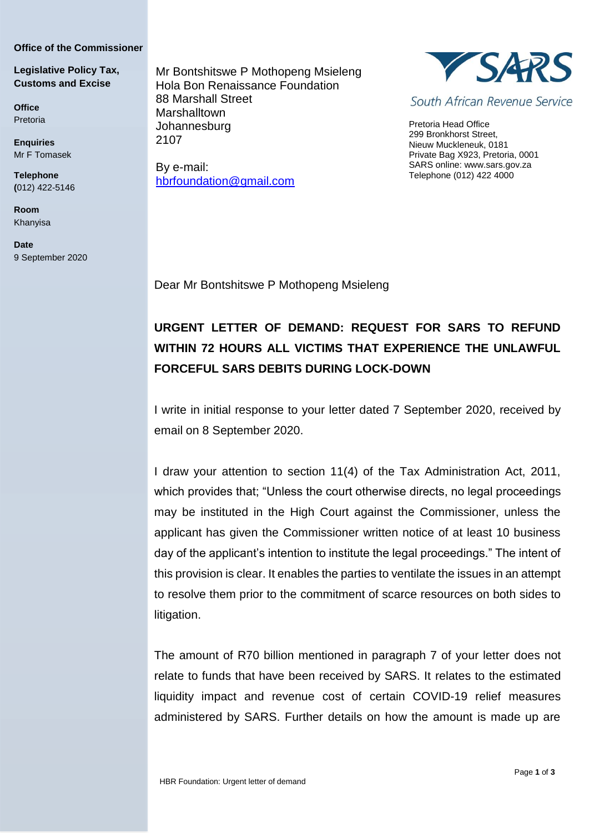## **Office of the Commissioner**

## **Legislative Policy Tax, Customs and Excise**

**Office** Pretoria

**Enquiries** Mr F Tomasek

**Telephone (**012) 422-5146

**Room** Khanyisa

**Date** 9 September 2020 Mr Bontshitswe P Mothopeng Msieleng Hola Bon Renaissance Foundation 88 Marshall Street **Marshalltown** Johannesburg 2107

By e-mail: [hbrfoundation@gmail.com](mailto:hbrfoundation@gmail.com)



South African Revenue Service

Pretoria Head Office 299 Bronkhorst Street, Nieuw Muckleneuk, 0181 Private Bag X923, Pretoria, 0001 SARS online: [www.sars.gov.za](http://www.sars.gov.za/) Telephone (012) 422 4000

Dear Mr Bontshitswe P Mothopeng Msieleng

## **URGENT LETTER OF DEMAND: REQUEST FOR SARS TO REFUND WITHIN 72 HOURS ALL VICTIMS THAT EXPERIENCE THE UNLAWFUL FORCEFUL SARS DEBITS DURING LOCK-DOWN**

I write in initial response to your letter dated 7 September 2020, received by email on 8 September 2020.

I draw your attention to section 11(4) of the Tax Administration Act, 2011, which provides that; "Unless the court otherwise directs, no legal proceedings may be instituted in the High Court against the Commissioner, unless the applicant has given the Commissioner written notice of at least 10 business day of the applicant's intention to institute the legal proceedings." The intent of this provision is clear. It enables the parties to ventilate the issues in an attempt to resolve them prior to the commitment of scarce resources on both sides to litigation.

The amount of R70 billion mentioned in paragraph 7 of your letter does not relate to funds that have been received by SARS. It relates to the estimated liquidity impact and revenue cost of certain COVID-19 relief measures administered by SARS. Further details on how the amount is made up are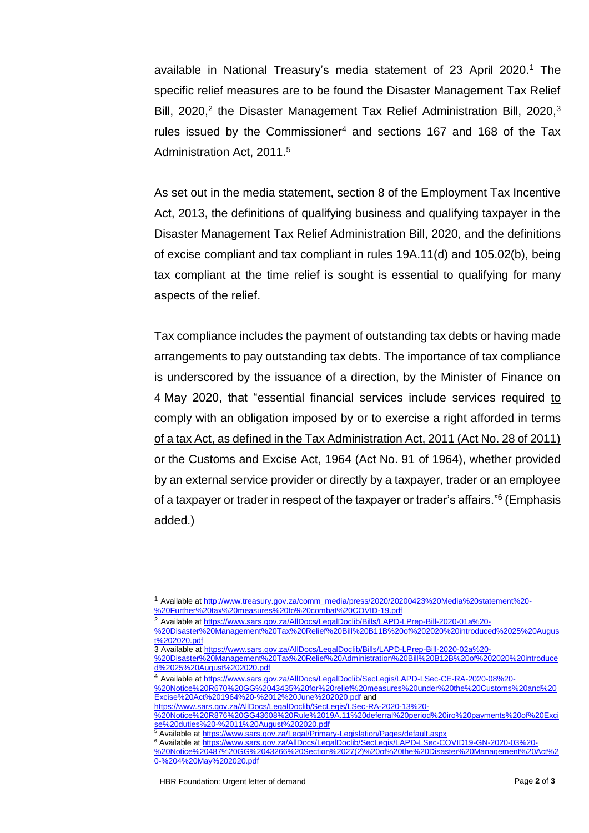available in National Treasury's media statement of 23 April 2020. <sup>1</sup> The specific relief measures are to be found the Disaster Management Tax Relief Bill, 2020,<sup>2</sup> the Disaster Management Tax Relief Administration Bill, 2020,<sup>3</sup> rules issued by the Commissioner<sup>4</sup> and sections 167 and 168 of the Tax Administration Act, 2011.<sup>5</sup>

As set out in the media statement, section 8 of the Employment Tax Incentive Act, 2013, the definitions of qualifying business and qualifying taxpayer in the Disaster Management Tax Relief Administration Bill, 2020, and the definitions of excise compliant and tax compliant in rules 19A.11(d) and 105.02(b), being tax compliant at the time relief is sought is essential to qualifying for many aspects of the relief.

Tax compliance includes the payment of outstanding tax debts or having made arrangements to pay outstanding tax debts. The importance of tax compliance is underscored by the issuance of a direction, by the Minister of Finance on 4 May 2020, that "essential financial services include services required to comply with an obligation imposed by or to exercise a right afforded in terms of a tax Act, as defined in the Tax Administration Act, 2011 (Act No. 28 of 2011) or the Customs and Excise Act, 1964 (Act No. 91 of 1964), whether provided by an external service provider or directly by a taxpayer, trader or an employee of a taxpayer or trader in respect of the taxpayer or trader's affairs."<sup>6</sup> (Emphasis added.)

-

<sup>1</sup> Available at [http://www.treasury.gov.za/comm\\_media/press/2020/20200423%20Media%20statement%20-](http://www.treasury.gov.za/comm_media/press/2020/20200423%20Media%20statement%20-%20Further%20tax%20measures%20to%20combat%20COVID-19.pdf)

[<sup>%20</sup>Further%20tax%20measures%20to%20combat%20COVID-19.pdf](http://www.treasury.gov.za/comm_media/press/2020/20200423%20Media%20statement%20-%20Further%20tax%20measures%20to%20combat%20COVID-19.pdf)

<sup>2</sup> Available at [https://www.sars.gov.za/AllDocs/LegalDoclib/Bills/LAPD-LPrep-Bill-2020-01a%20-](https://www.sars.gov.za/AllDocs/LegalDoclib/Bills/LAPD-LPrep-Bill-2020-01a%20-%20Disaster%20Management%20Tax%20Relief%20Bill%20B11B%20of%202020%20introduced%2025%20August%202020.pdf)

[<sup>%20</sup>Disaster%20Management%20Tax%20Relief%20Bill%20B11B%20of%202020%20introduced%2025%20Augus](https://www.sars.gov.za/AllDocs/LegalDoclib/Bills/LAPD-LPrep-Bill-2020-01a%20-%20Disaster%20Management%20Tax%20Relief%20Bill%20B11B%20of%202020%20introduced%2025%20August%202020.pdf) [t%202020.pdf](https://www.sars.gov.za/AllDocs/LegalDoclib/Bills/LAPD-LPrep-Bill-2020-01a%20-%20Disaster%20Management%20Tax%20Relief%20Bill%20B11B%20of%202020%20introduced%2025%20August%202020.pdf)

<sup>3</sup> Available a[t https://www.sars.gov.za/AllDocs/LegalDoclib/Bills/LAPD-LPrep-Bill-2020-02a%20-](https://www.sars.gov.za/AllDocs/LegalDoclib/Bills/LAPD-LPrep-Bill-2020-02a%20-%20Disaster%20Management%20Tax%20Relief%20Administration%20Bill%20B12B%20of%202020%20introduced%2025%20August%202020.pdf)

[<sup>%20</sup>Disaster%20Management%20Tax%20Relief%20Administration%20Bill%20B12B%20of%202020%20introduce](https://www.sars.gov.za/AllDocs/LegalDoclib/Bills/LAPD-LPrep-Bill-2020-02a%20-%20Disaster%20Management%20Tax%20Relief%20Administration%20Bill%20B12B%20of%202020%20introduced%2025%20August%202020.pdf) [d%2025%20August%202020.pdf](https://www.sars.gov.za/AllDocs/LegalDoclib/Bills/LAPD-LPrep-Bill-2020-02a%20-%20Disaster%20Management%20Tax%20Relief%20Administration%20Bill%20B12B%20of%202020%20introduced%2025%20August%202020.pdf)

<sup>4</sup> Available at [https://www.sars.gov.za/AllDocs/LegalDoclib/SecLegis/LAPD-LSec-CE-RA-2020-08%20-](https://www.sars.gov.za/AllDocs/LegalDoclib/SecLegis/LAPD-LSec-CE-RA-2020-08%20-%20Notice%20R670%20GG%2043435%20for%20relief%20measures%20under%20the%20Customs%20and%20Excise%20Act%201964%20-%2012%20June%202020.pdf)

[<sup>%20</sup>Notice%20R670%20GG%2043435%20for%20relief%20measures%20under%20the%20Customs%20and%20](https://www.sars.gov.za/AllDocs/LegalDoclib/SecLegis/LAPD-LSec-CE-RA-2020-08%20-%20Notice%20R670%20GG%2043435%20for%20relief%20measures%20under%20the%20Customs%20and%20Excise%20Act%201964%20-%2012%20June%202020.pdf) [Excise%20Act%201964%20-%2012%20June%202020.pdf](https://www.sars.gov.za/AllDocs/LegalDoclib/SecLegis/LAPD-LSec-CE-RA-2020-08%20-%20Notice%20R670%20GG%2043435%20for%20relief%20measures%20under%20the%20Customs%20and%20Excise%20Act%201964%20-%2012%20June%202020.pdf) and

[https://www.sars.gov.za/AllDocs/LegalDoclib/SecLegis/LSec-RA-2020-13%20-](https://www.sars.gov.za/AllDocs/LegalDoclib/SecLegis/LSec-RA-2020-13%20-%20Notice%20R876%20GG43608%20Rule%2019A.11%20deferral%20period%20iro%20payments%20of%20Excise%20duties%20-%2011%20August%202020.pdf)

[<sup>%20</sup>Notice%20R876%20GG43608%20Rule%2019A.11%20deferral%20period%20iro%20payments%20of%20Exci](https://www.sars.gov.za/AllDocs/LegalDoclib/SecLegis/LSec-RA-2020-13%20-%20Notice%20R876%20GG43608%20Rule%2019A.11%20deferral%20period%20iro%20payments%20of%20Excise%20duties%20-%2011%20August%202020.pdf) [se%20duties%20-%2011%20August%202020.pdf](https://www.sars.gov.za/AllDocs/LegalDoclib/SecLegis/LSec-RA-2020-13%20-%20Notice%20R876%20GG43608%20Rule%2019A.11%20deferral%20period%20iro%20payments%20of%20Excise%20duties%20-%2011%20August%202020.pdf)

<sup>&</sup>lt;sup>5</sup> Available a[t https://www.sars.gov.za/Legal/Primary-Legislation/Pages/default.aspx](https://www.sars.gov.za/Legal/Primary-Legislation/Pages/default.aspx)

<sup>&</sup>lt;sup>6</sup> Available a[t https://www.sars.gov.za/AllDocs/LegalDoclib/SecLegis/LAPD-LSec-COVID19-GN-2020-03%20-](https://www.sars.gov.za/AllDocs/LegalDoclib/SecLegis/LAPD-LSec-COVID19-GN-2020-03%20-%20Notice%20487%20GG%2043266%20Section%2027(2)%20of%20the%20Disaster%20Management%20Act%20-%204%20May%202020.pdf) [%20Notice%20487%20GG%2043266%20Section%2027\(2\)%20of%20the%20Disaster%20Management%20Act%2](https://www.sars.gov.za/AllDocs/LegalDoclib/SecLegis/LAPD-LSec-COVID19-GN-2020-03%20-%20Notice%20487%20GG%2043266%20Section%2027(2)%20of%20the%20Disaster%20Management%20Act%20-%204%20May%202020.pdf) [0-%204%20May%202020.pdf](https://www.sars.gov.za/AllDocs/LegalDoclib/SecLegis/LAPD-LSec-COVID19-GN-2020-03%20-%20Notice%20487%20GG%2043266%20Section%2027(2)%20of%20the%20Disaster%20Management%20Act%20-%204%20May%202020.pdf)